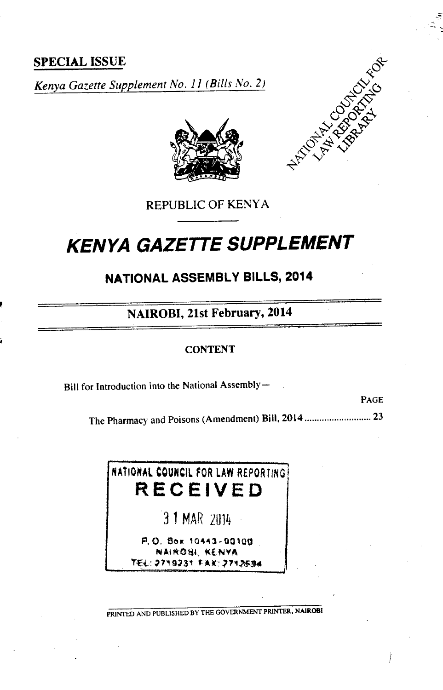**SPECIAL ISSUE**

*Kenya Gazette Supplement No. 11 (Bills No. 2)*



REPUBLIC OF KENYA

# **KENYA GAZETTE SUPPLEMENT**

**NATIONAL ASSEMBLY BILLS, 2014**

**NAIROBI, 21st February, 2014**

## **CONTENT**

Bill for Introduction into the National Assembly-

PAGE

The Pharmacy and Poisons (Amendment) Bill, 2014...........................23

NATIONAL COUNCIL FOR LAW REPORTING **RECEIVED**

31 MAR 2014

*P.O. Box* NAIROH, KENYA *fl'3i*

PRINTED AND PUBLISHED BY THE GOVERNMENT **PRINTER, NAIROBI**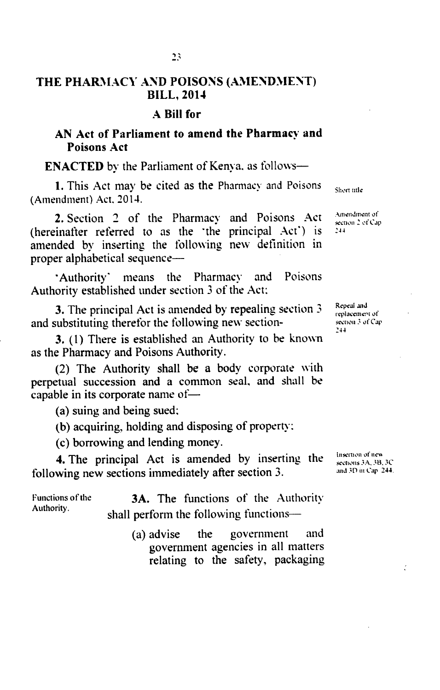# **THE PHARMACY AND POISONS (AMENDMENT) BILL, 2014**

#### **A Bill for**

# **AN Act of Parliament to amend the Pharmacy and Poisons Act**

**ENACTED** by the Parliament of Kenya, as follows-

1. This Act may be cited as the Pharmacy and Poisons (Amendment) Act. 2014.

2. Section 2 of the Pharmacy and Poisons Act  $\frac{A_{\text{unendment of}}{S_{\text{even 2 of Cap}}}$ **2.** Section 2 of the Final and Toisons 2xet  $\frac{1}{2}$  section 2xfCap (hereinafter referred to as the 'the principal Act') is  $244$ amended by inserting the following new definition in proper alphabetical sequence—

Authority' means the Pharmacy and Poisons Authority established under section *3* of the Act:

3. The principal Act is amended by repealing section 3 and substituting therefor the following new section-

3. (1) There is established an Authority to be known as the Pharmacy and Poisons Authority.

(2) The Authority shall be a body corporate with perpetual succession and a common seal, and shall be capable in its corporate name of—

(a) suing and being sued:

(b) acquiring, holding and disposing of property:

(c) borrowing and lending money.

4. The principal Act is amended by inserting the following new sections immediately after section 3.

Functions of the 3A. The functions of the Authority. shall perform the following functions—

> (a) advise the government and government agencies in all matters relating to the safety, packaging

Repeal and replacement of section 3 of Cap-244

Insertion of new sections 3A, 3B, 3C and 3[) **tit** Cap 244.

÷

Short title

Amendment of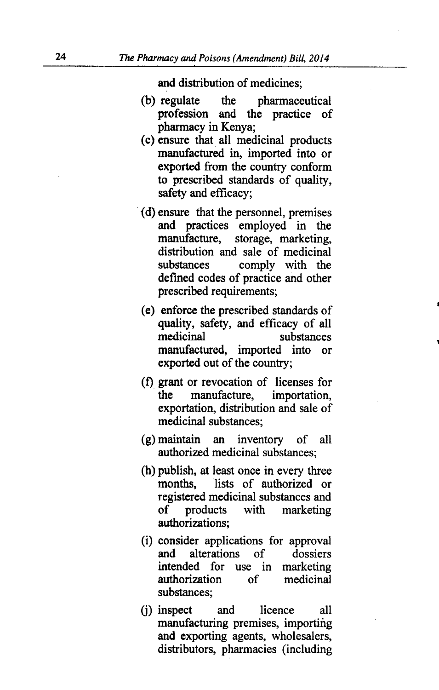and distribution of medicines;

- (b) regulate the pharmaceutical profession and the practice of pharmacy in Kenya;
- (c) ensure that all medicinal products manufactured in, imported into or exported from the country conform to prescribed standards of quality, safety and efficacy;
- (d) ensure that the personnel, premises and practices employed in the manufacture, storage, marketing, distribution and sale of medicinal substances comply with the defined codes of practice and other prescribed requirements;
- (e) enforce the prescribed standards of quality, safety, and efficacy of all medicinal substances manufactured, imported into or exported out of the country;
- (f) grant or revocation of licenses for the manufacture, importation, exportation, distribution and sale of medicinal substances;
- (g) maintain an inventory of all authorized medicinal substances;
- (h) publish, at least once in every three months, lists of authorized or registered medicinal substances and of products with marketing authorizations;
- (i) consider applications for approval<br>and alterations of dossiers and alterations of dossiers intended for use in marketing authorization of medicinal substances;
- (i) inspect and licence all manufacturing premises, importing and exporting agents, wholesalers, distributors, pharmacies (including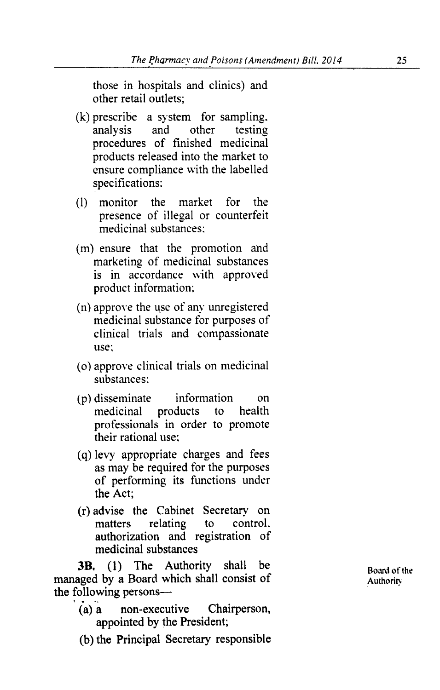those in hospitals and clinics) and other retail outlets;

- (k) prescribe a system for sampling. analysis and other testing procedures of finished medicinal products released into the market to ensure compliance with the labelled specifications:
- (1) monitor the market for the presence of illegal or counterfeit medicinal substances:
- (m) ensure that the promotion and marketing of medicinal substances is in accordance with approved product information;
- (n) approve the use of any unregistered medicinal substance for purposes of clinical trials and compassionate use:
- (o) approve clinical trials on medicinal substances:
- (p) disseminate information on<br>medicinal products to health medicinal products professionals in order to promote their rational use:
- (q) levy appropriate charges and fees as may be required for the purposes of performing its functions under the Act;
- (r) advise the Cabinet Secretary on matters relating to control, authorization and registration of medicinal substances

**3B,** (1) The Authority shall be **Board of the** *Board* of the *Board* of the *Authority* managed by a Board which shall consist of the following persons—

- (a) a non-executive Chairperson, appointed by the President;
- (b) the Principal Secretary responsible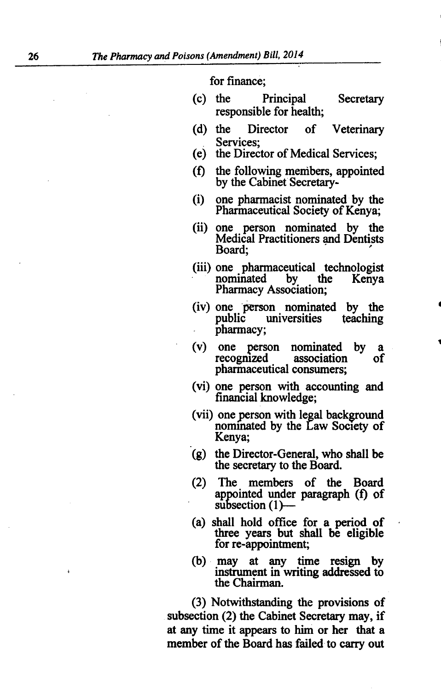for finance;

- (c) the Principal Secretary responsible for health;
- (d) the Director of Veterinary Services;<br>(e) the Direc
- the Director of Medical Services;
- (f) the following members, appointed by the Cabinet Secretary-
- (i) one pharmacist nominated by the Pharmaceutical Society of Kenya;
- (ii) one person nominated by the Medical Practitioners and Dentists Board;
- (iii) one pharmaceutical technologist<br>nominated by the Kenya nominated Pharmacy Association;
- (iv) one person nominated by the public universities teaching pharmacy;
- (v) one person nominated by a recognized pharmaceutical consumers;
- (vi) one person with accounting and financial knowledge;
- (vii) one person with legal background nominated by the Law Society of Kenya;
- (g) the Director-General, who shall be the secretary to the Board.
- (2) The members of the Board appointed under paragraph (f) of subsection  $(1)$ —
- (a) shall hold office for a period of three years but shall be eligible for re-appointment;
- (b) may at any time resign by instrument in writing addressed to the Chairman.

(3) Notwithstanding the provisions of subsection (2) the Cabinet Secretary may, if at any time it appears to him or her that a member of the Board has failed to carry out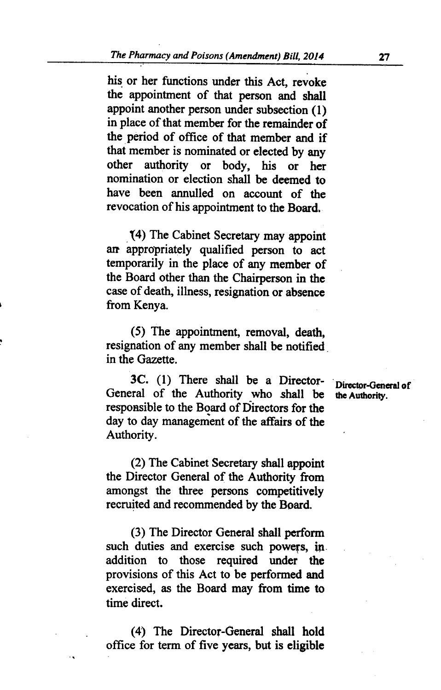his or her functions under this Act, revoke the appointment of that person and shall appoint another person under subsection (1) in place of that member for the remainder of the period of office of that member and if that member is nominated or elected by any other authority or body, his or her nomination or election shall be deemed to have been annulled on account of the revocation of his appointment to the Board.

14) The Cabinet Secretary may appoint art appropriately qualified person to act temporarily in the place of any member of the Board other than the Chairperson in the case of death, illness, resignation or absence from Kenya.

(5) The appointment, removal, death, resignation of any member shall be notified. in the Gazette.

3C. (1) There shall be a Director- **Director-General of** the Authority who shall be the Authority. General of the Authority who shall be responsible to the Board of Directors for the day to day management of the affairs of the Authority.

(2) The Cabinet Secretary shall appoint the Director General of the Authority from amongst the three persons competitively recruited and recommended by the Board.

(3) The Director General shall perform such duties and exercise such powers, in addition to those required under the provisions of this Act to be performed and exercised, as the Board may from time to time direct.

(4) The Director-General shall hold office for term of five years, but is eligible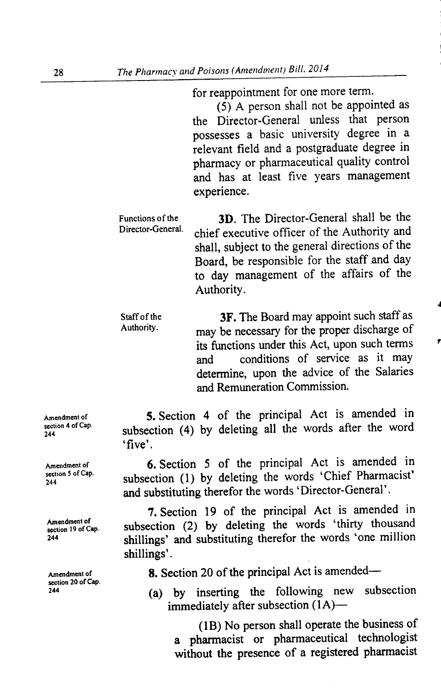for reappointment for one more term.

*(5)* A person shall not be appointed as the Director-General unless that person possesses a basic university degree in a relevant field and a postgraduate degree in pharmacy or pharmaceutical quality control and has at least five years management experience.

Functions of the **3D.** The Director-General shall be the Director-General shall be the Director-General. chief executive officer of the Authority and shall, subject to the general directions of the Board, be responsible for the staff and day to day management of the affairs of the Authority.

Staff of the **3F.** The Board may appoint such staff as<br>Authority. may be necessary for the proper discharge of its functions under this Act, upon such terms and conditions of service as it may determine, upon the advice of the Salaries and Remuneration Commission.

5. Section 4 of the principal Act is amended in subsection (4) by deleting all the words after the word 'five'.

Amendment of **6.** Section 5 of the principal Act is amended in subsection (1) by deleting the words 'Chief Pharmacist' and substituting therefor the words 'Director-General'.

7. Section 19 of the principal Act is amended in subsection (2) by deleting the words 'thirty thousand <sup>244</sup> shillings' and substituting therefor the words 'one million shillings'.

Amendment of 8. Section 20 of the principal Act is amended—

(a) by inserting the following new subsection immediately after subsection  $(1A)$ --

(1B) No person shall operate the business of a pharmacist or pharmaceutical technologist without the presence of a registered pharmacist

Amendment of section 4 of Cap 244

section 5 of Cap.<br>244

Amendment of<br>section 19 of Cap.

section 20 of Cap.<br>244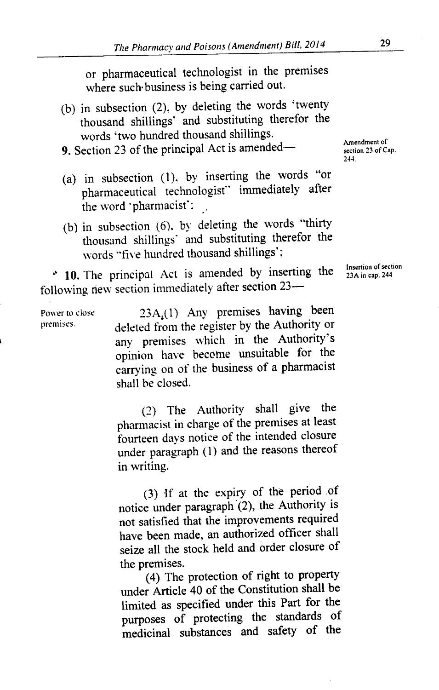or pharmaceutical technologist in the premises where such business is being carried out.

(b) in subsection  $(2)$ , by deleting the words 'twenty thousand shillings' and substituting therefor the words 'two hundred thousand shillings.

9. Section 23 of the principal Act is amended—<br>19. Section 23 of the principal Act is amended—<br>23 of Cap.

- (a) in subsection (1). by inserting the words "or pharmaceutical technologist" immediately after the word 'pharmacist':
- (b) in subsection (6). by deleting the words "thirty thousand shillings' and substituting therefor the words "five hundred thousand shillings':

**10.** The principal Act is amended by inserting the following new section immediately after section 23—

Power to close 23A<sub>4</sub>(1) Any premises having been<br>premises. Asked from the register by the Authority or deleted from the register by the Authority or any premises which in the Authority's opinion have become unsuitable for the carrying on of the business of a pharmacist shall be closed.

> (2) The Authority shall give the pharmacist in charge of the premises at least fourteen days notice of the intended closure under paragraph (1) and the reasons thereof in writing.

> (3) if at the expiry of the period of notice under paragraph (2), the Authority is not satisfied that the improvements required have been made, an authorized officer shall seize all the stock held and order closure of the premises.

(4) The protection of right to property under Article 40 of the Constitution shall be limited as specified under this Part for the purposes of protecting the standards of medicinal substances and safety of the

244.

Insertion of section 23A in cap. 244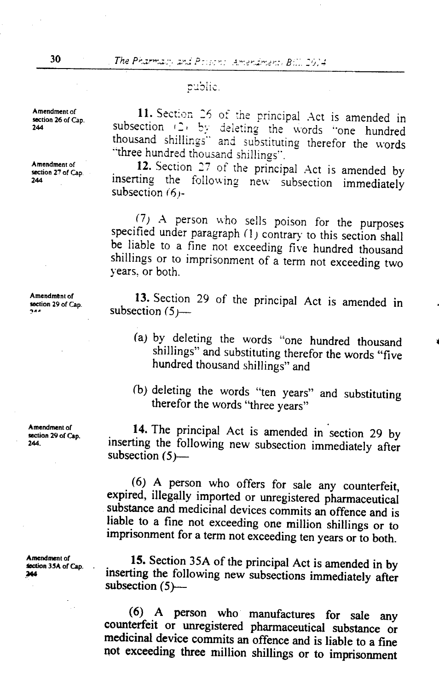## public.

11. Section 26 of the principal Act is amended in subsection (2) by deleting the words "one hundred thousand shillings" and substituting therefor the words "three hundred thousand shillings".

Amendment of **12.** Section 27 of the principal Act is amended by <br>244 **inserting** the following new subsection immediately inserting the following new subsection immediately subsection  $(6)$ -

> (7) A person who sells poison for the purposes specified under paragraph (1) contrary to this section shall be liable to a fine not exceeding five hundred thousand shillings or to imprisonment of a term not exceeding two years, or both.

> **13.** Section 29 of the principal Act is amended in subsection *(5)—.-*

- (a) by deleting the words "one hundred thousand shillings" and substituting therefor the words *"five* hundred thousand shillings" and
- (b) deleting the words "ten years" and substituting therefor the words "three years"

**14.** The principal Act is amended in section 29 by inserting the following new subsection immediately after subsection  $(5)$ —

**(6) A** person who offers for sale any counterfeit, expired, illegally imported or unregistered pharmaceutical substance and medicinal devices commits an offence and is liable to a fine not exceeding one million shillings or to imprisonment for a term not exceeding ten years or to both.

Amendment of<br> **15.** Section 35A of the principal Act is amended in by<br> **15.** Section 35A of the principal Act is amended in by<br> **15.** Section 35A of the principal Act is amended in by inserting the following new subsections immediately after subsection  $(5)$ --

> **(6) A** person who manufactures for sale any counterfeit or unregistered pharmaceutical substance or medicinal device commits an offence and is liable to a fine not exceeding three million shillings or to imprisonment

Amendment of **section 26 of Cap.**<br>244

**Amendment of section 29** of Cap.

**Amendment of section 29** of Cap.

**Amendment of**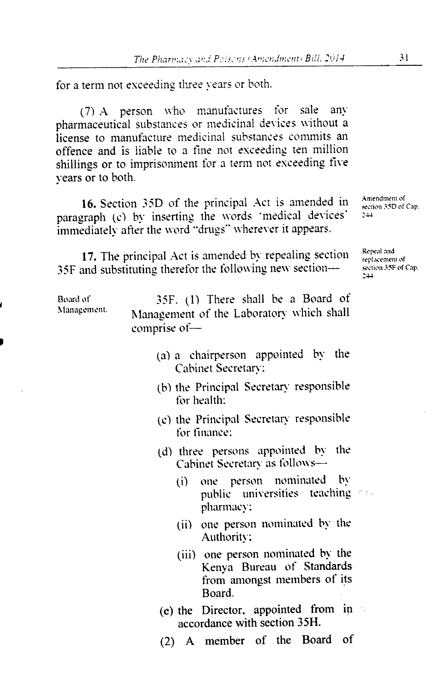for a term not exceeding three years or both.

(7) A person who manufactures for sale any pharmaceutical substances or medicinal devices without a license to manufacture medicinal substances commits an offence and is liable to a fine not exceeding ten million shillings or to imprisonment for a term not exceeding five years or to both.

16. Section 35D of the principal Act is amended in  $\frac{\text{Amendiment of}}{\text{second.}}$ paragraph (c) by inserting the words 'medical devices' immediately after the word "drugs" wherever it appears.

17. The principal Act is amended by repealing section Repeal and replacement of  $R_{\text{replacement of}}$  and substituting therefor the following new section  $\rightarrow$  section 35F of Cap. 35F and substituting therefor the following new section— $\frac{25}{34}$ 

Management.

Board of 35F. (1) There shall he a Board of Management of the Laboratory which shall comprise of—

- (a) a chairperson appointed by the Cabinet Secretary:
- (h) the Principal Secretary responsible for health:
- (c) the Principal Secretary responsible for finance:
- (d) three persons appointed by the Cabinet Secretary as follows-
	- (i) one person nominated by public universities teaching seepharmacy:
	- (ii) one person nominated by the Authority:
	- (iii) one person nominated by the Kenya Bureau of Standards from amongst members of its Board.
- (e) the Director, appointed from in accordance with section 35H.
- (2) A member of the Board of

sechon 3 5D *of Cap.*

replacenient of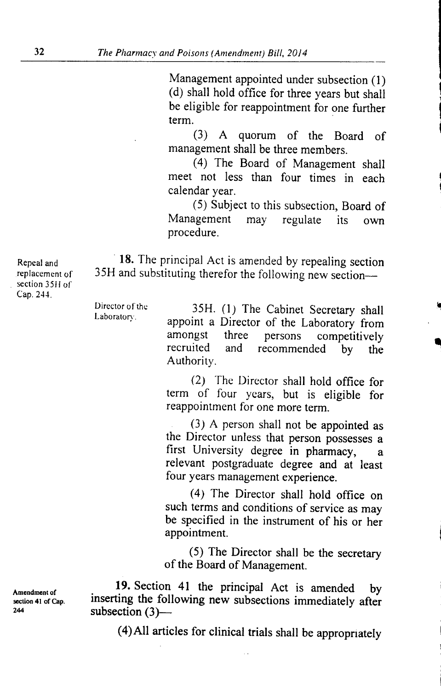Management appointed under subsection (1) (d) shall hold office for three years but shall be eligible for reappointment for one further term.

(3) A quorum of the Board of management shall be three members.

(4) The Board of Management shall meet not less than four times in each calendar year.

(5) Subject to this subsection, Board of Management may regulate its own procedure.

Repeal and **18.** The principal Act is amended by repealing section replacement of 35H and substituting therefor the following new section—

> Director of the 35H. (1) The Cabinet Secretary shall appoint a Director of the Laboratory from amongst three persons competitively<br>recruited and recommended by the recommended by the Authority.

> > (2) The Director shall hold office for term of four years, but is eligible for reappointment for one more term.

> > (3) A person shall not be appointed as the Director unless that person possesses a first University degree in pharmacy, a relevant postgraduate degree and at least four years management experience.

> > (4) The Director shall hold office on such terms and conditions of service as may be specified in the instrument of his or her appointment.

> > (5) The Director shall be the secretary of the Board of Management.

Amendment of 19. Section 41 the principal Act is amended by Amendment of<br>section 41 of Cap. inserting the following new subsections immediately after<br> $\frac{244}{24}$ subsection  $(3)$ ---

(4)Al1 articles for clinical trials shall be appropriately

section 3511 of Cap. 244.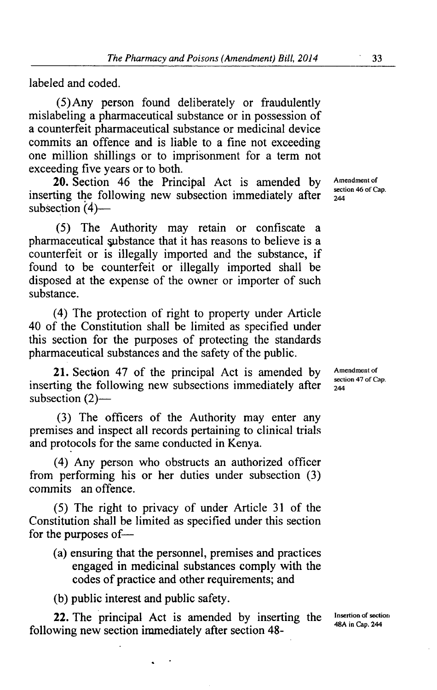labeled and coded.

(5) Any person found deliberately or fraudulently mislabeling a pharmaceutical substance or in possession of a counterfeit pharmaceutical substance or medicinal device commits an offence and is liable to a fine not exceeding one million shillings or to imprisonment for a term not exceeding five years or to both.

20. Section 46 the Principal Act is amended by Amendment of section 46 of Cap. inserting the following new subsection immediately after  $_{244}^{\text{sect}}$ subsection  $(4)$ —

(5) The Authority may retain or confiscate a pharmaceutical substance that it has reasons to believe is a counterfeit or is illegally imported and the substance, if found to be counterfeit or illegally imported shall be disposed at the expense of the owner or importer of such substance.

(4) The protection of right to property under Article 40 of the Constitution shall be limited as specified under this section for the purposes of protecting the standards pharmaceutical substances and the safety of the public.

21. Section 47 of the principal Act is amended by Amendment of section 47 of Cap. inserting the following new subsections immediately after  $\frac{\text{sect}}{244}$ subsection  $(2)$ —

(3) The officers of the Authority may enter any premises and inspect all records pertaining to clinical trials and protocols for the same conducted in Kenya.

(4) Any person who obstructs an authorized officer from performing his or her duties under subsection (3) commits an offence.

(5) The right to privacy of under Article 31 of the Constitution shall be limited as specified under this section for the purposes of—

(a) ensuring that the personnel, premises and practices engaged in medicinal substances comply with the codes of practice and other requirements; and

(b) public interest and public safety.

**22.** The principal Act is amended by inserting the Insertion of section following new section immediately after section 48-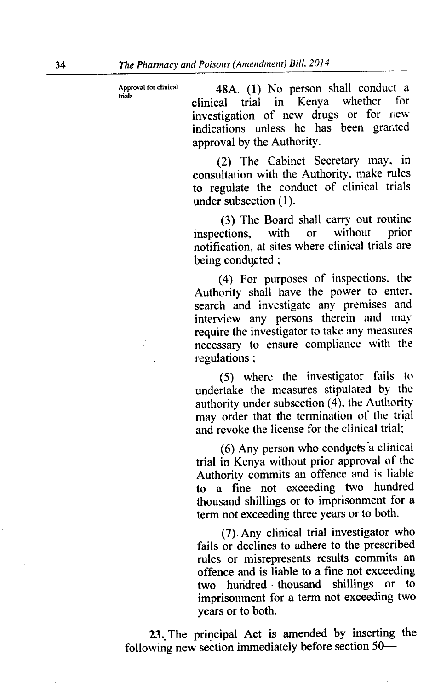Approval for clinical 48A. (1) No person shall conduct a clinical trial in Kenya whether for investigation of new drugs or for new indications unless he has been granted approval by the Authority.

> (2) The Cabinet Secretary may. in consultation with the Authority, make rules to regulate the conduct of clinical trials under subsection (1).

> (3) The Board shall carry out routine<br>ctions, with or without prior inspections. notification, at sites where clinical trials are being conducted;

> (4) For purposes of inspections, the Authority shall have the power to enter. search and investigate any premises and interview any persons therein and may require the investigator to take any measures necessary to ensure compliance with the regulations;

> (5) where the investigator fails to undertake the measures stipulated by the authority under subsection  $(4)$ , the Authority may order that the termination of the trial and revoke the license for the clinical trial;

> (6) Any person who conducts 'a clinical trial in Kenya without prior approval of the Authority commits an offence and is liable to a fine not exceeding two hundred thousand shillings or to imprisonment for a term not exceeding three years or to both.

> (7) Any clinical trial investigator who fails or declines to adhere to the prescribed rules or misrepresents results commits an offence and is liable to a fine not exceeding two hundred thousand shillings or imprisonment for a term not exceeding two years or to both.

23. The principal Act is amended by inserting the following new section immediately before section *50-*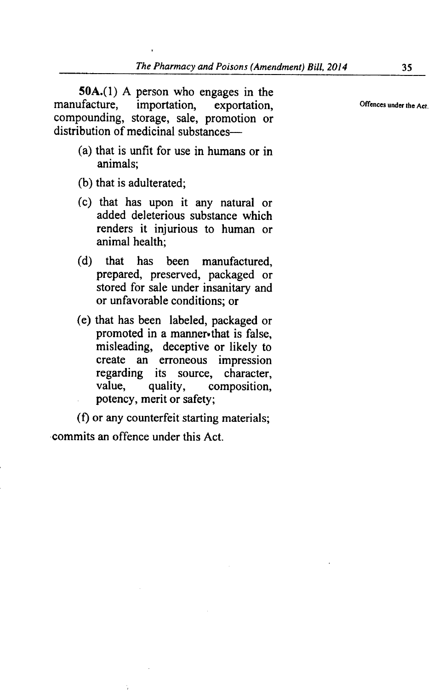50A.(1) A person who engages in the manufacture. importation. exportation. importation, exportation,  $\sum_{n=1}^{\infty}$  Offences under the Act. compounding, storage, sale, promotion or distribution of medicinal substances—

- (a) that is unfit for use in humans or in animals;
- (b) that is adulterated;
- (c) that has upon it any natural or added deleterious substance which renders it injurious to human or animal health;
- (d) that has been manufactured, prepared, preserved, packaged or stored for sale under insanitary and or unfavorable conditions; or
- (e) that has been labeled, packaged or promoted in a manner-that is false, misleading, deceptive or likely to create an erroneous impression regarding its source, character,<br>value, quality, composition. composition. potency, merit or safety;

(f) or any counterfeit starting materials; commits an offence under this Act.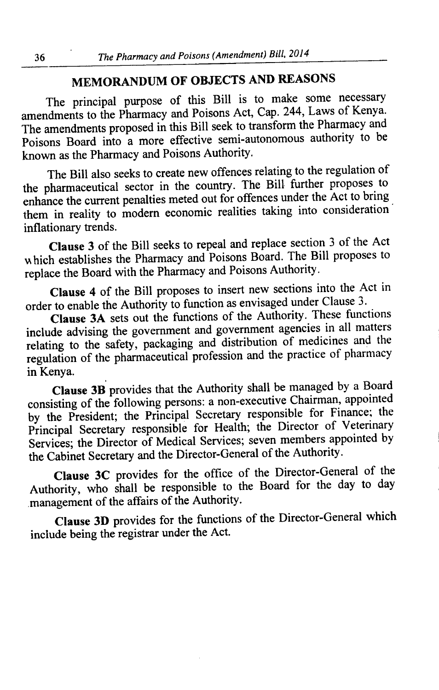# **MEMORANDUM OF OBJECTS AND REASONS**

The principal purpose of this Bill is to make some necessary amendments to the Pharmacy and Poisons Act, Cap. 244, Laws of Kenya. The amendments proposed in this Bill seek to transform the Pharmacy and Poisons Board into a more effective semi-autonomous authority to be known as the Pharmacy and Poisons Authority.

The Bill also seeks to create new offences relating to the regulation of the pharmaceutical sector in the country. The Bill further proposes to enhance the current penalties meted out for offences under the Act to bring them in reality to modern economic realities taking into consideration inflationary trends.

**Clause 3** of the Bill seeks to repeal and replace section 3 of the Act hich establishes the Pharmacy and Poisons Board. The Bill proposes to replace the Board with the Pharmacy and Poisons Authority.

**Clause 4** of the Bill proposes to insert new sections into the Act in order to enable the Authority to function as envisaged under Clause 3.

**Clause 3A** sets out the functions of the Authority. These functions include advising the government and government agencies in all matters relating to the safety, packaging and distribution of medicines and the regulation of the pharmaceutical profession and the practice of pharmacy in Kenya.

**Clause 3B** provides that the Authority shall be managed by a Board consisting of the following persons: a non-executive Chairman, appointed by the President; the Principal Secretary responsible for Finance; the Principal Secretary responsible for Health; the Director of Veterinary Services; the Director of Medical Services; seven members appointed by the Cabinet Secretary and the Director-General of the Authority.

**Clause 3C** provides for the office of the Director-General of the Authority, who shall be responsible to the Board for the day to day management of the affairs of the Authority.

**Clause 3D** provides for the functions of the Director-General which include being the registrar under the Act.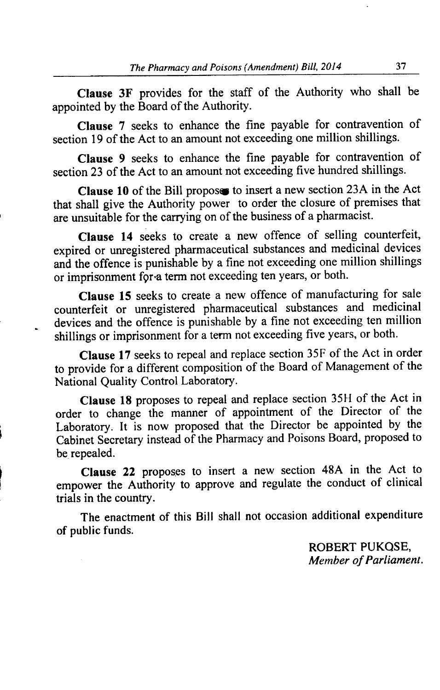**Clause 3F** provides for the staff of the Authority who shall be appointed by the Board of the Authority.

**Clause** 7 seeks to enhance the fine payable for contravention of section 19 of the Act to an amount not exceeding one million shillings.

**Clause** *9* seeks to enhance the fine payable for contravention of section 23 of the Act to an amount not exceeding five hundred shillings.

**Clause 10** of the Bill propose to insert a new section 23A in the Act that shall give the Authority power to order the closure of premises that are unsuitable for the carrying on of the business of a pharmacist.

**Clause 14** seeks to create a new offence of selling counterfeit, expired or unregistered pharmaceutical substances and medicinal devices and the offence is punishable by a fine not exceeding one million shillings or imprisonment for a term not exceeding ten years, or both.

**Clause 15** seeks to create a new offence of manufacturing for sale counterfeit or unregistered pharmaceutical substances and medicinal devices and the offence is punishable by a fine not exceeding ten million shillings or imprisonment for a term not exceeding five years, or both.

**Clause 17** seeks to repeal and replace section 35F of the Act in order to provide for a different composition of the Board of Management of the National Quality Control Laboratory.

**Clause 18** proposes to repeal and replace section 3511 of the Act in order to change the manner of appointment of the Director of the Laboratory. It is now proposed that the Director be appointed by the Cabinet Secretary instead of the Pharmacy and Poisons Board, proposed to be repealed.

**Clause** 22 proposes to insert a new section 48A in the Act to empower the Authority to approve and regulate the conduct of clinical trials in the country.

The enactment of this Bill shall not occasion additional expenditure of public funds.

> ROBERT PUKOSE, *Member of Parliament.*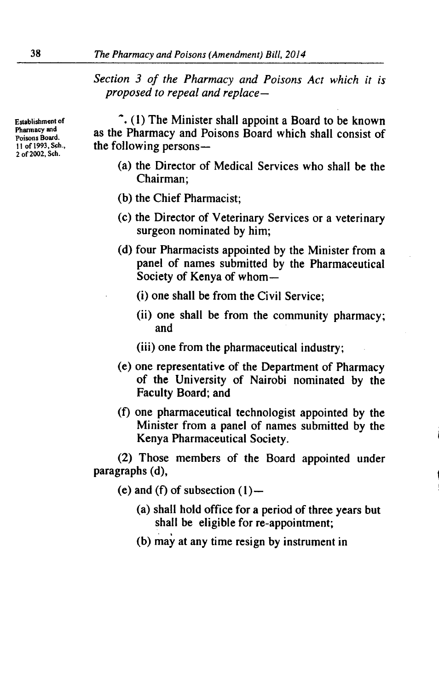*Section 3 of the Pharmacy and Poisons Act which it is proposed to repeal and replace —*

2 of 2002, Sch.

Establishment of  $\tilde{C}$  (1) The Minister shall appoint a Board to be known Pharmacy and as the Pharmacy and Poisons Board which shall consist of  $Poisons$ <sup>Board</sup>.<br>
11 of 1993, Sch., the following persons the following persons-

- (a) the Director of Medical Services who shall be the Chairman;
- (b) the Chief Pharmacist;
- (c) the Director of Veterinary Services or a veterinary surgeon nominated by him;
- (d) four Pharmacists appointed by the Minister from a panel of names submitted by the Pharmaceutical Society of Kenya of whom-
	- (i) one shall be from the Civil Service;
	- (ii) one shall be from the community pharmacy; and
	- (iii) one from the pharmaceutical industry;
- (e) one representative of the Department of Pharmacy of the University of Nairobi nominated by the Faculty Board; and
- (1) one pharmaceutical technologist appointed by the Minister from a panel of names submitted by the Kenya Pharmaceutical Society.

(2) Those members of the Board appointed under paragraphs (d),

- (e) and (f) of subsection  $(1)$ 
	- (a) shall hold office for a period of three years but shall be eligible for re-appointment;
	- (b) may at any time resign by instrument in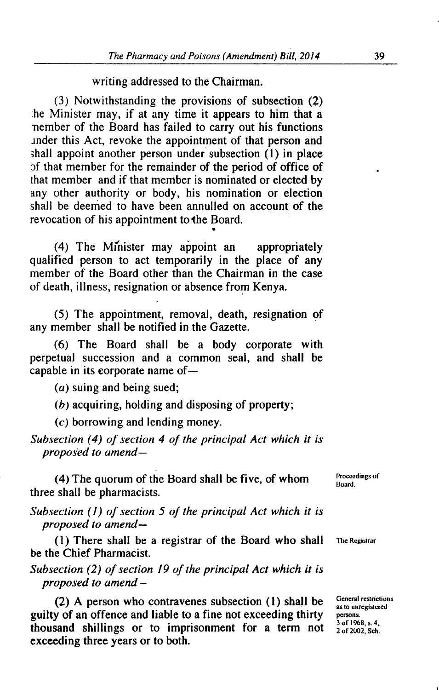writing addressed to the Chairman.

(3) Notwithstanding the provisions of subsection (2) be Minister may, if at any time it appears to him that a nember of the Board has failed to carry out his functions .inder this Act, revoke the appointment of that person and shall appoint another person under subsection (1) in place of that member for the remainder of the period of office of that member and if that member is nominated or elected by any other authority or body, his nomination or election shall be deemed to have been annulled on account of the revocation of his appointment to the Board.

(4) The Minister may appoint an appropriately qualified person to act temporarily in the place of any member of the Board other than the Chairman in the case of death, illness, resignation or absence from Kenya.

(5) The appointment, removal, death, resignation of any member shall be notified in the Gazette.

(6) The Board shall be a body corporate with perpetual succession and a common seal, and shall be capable in its corporate name of—

(a) suing and being sued;

(b) acquiring, holding and disposing of property;

(c) borrowing and lending money.

*Subsection (4) of section 4 of the principal Act which it is proposed to amend—*

(4) The quorum of the Board shall be five, of whom three shall be pharmacists.

*Subsection (I) of section 5 of the principal Act which it is proposed to amend—*

(1) There shall be a registrar of the Board who shall **The Registrar** be the Chief Pharmacist.

*Subsection (2) of section 19 of the principal Act which it is proposed to amend -*

(2) A person who contravenes subsection (1) shall be **General restrictions** guilty of an offence and liable to a fine not exceeding thirty **persons**. thousand shillings or to imprisonment for a term not <sup>3 of 1968, s. 4.</sup> exceeding three years or to both.

Proceedings of **Board** 

**as to unregistered**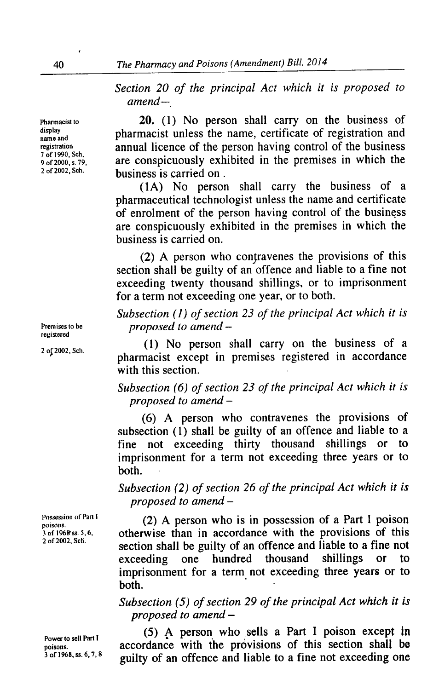*Section 20 of the principal Act which it is proposed to amend—*

Pharmacist to **20.** (1) No person shall carry on the business of display<br>
name and<br> **pharmacist unless the name, certificate of registration and<br>
registration**<br> **annual licence of the person having control of the business registration**<br> **registration**<br> **r** of 1990, Sch,<br> **annual licence of the person having control of the business** are conspicuously exhibited in the premises in which the 9 of 2000, s. 79, **are conspicuously exn** 2 of 2002, Sch. **business is carried on**.

> (IA) No person shall carry the business of a pharmaceutical technologist unless the name and certificate of enrolment of the person having control of the business are conspicuously exhibited in the premises in which the business is carried on.

> $(2)$  A person who contravenes the provisions of this section shall be guilty of an offence and liable to a fine not exceeding twenty thousand shillings, or to imprisonment for a term not exceeding one year, or to both.

*Subsection (1) of section 23 of the principal Act which it is* **Premises to be** *proposed to amend -*

(1) No person shall carry on the business of a <sup>2 of 2002, Sch.</sup> pharmacist except in premises registered in accordance with this section.

> *Subsection (6) of section 23 of the principal Act which it is proposed to amend -*

> (6) A person who contravenes the provisions of subsection (1) shall be guilty of an offence and liable to a fine not exceeding thirty thousand shillings or to imprisonment for a term not exceeding three years or to both.

> *Subsection (2) of section 26 of the principal Act which it is proposed to amend -*

**Possession ot Part I** (2) A person who is in possession of a Part I poison <sup>3</sup>of 1968<sup>s</sup> ss. 5, 6, otherwise than in accordance with the provisions of this 2 of 2002, Sch. exection shall be guilty of an offence and liable to a fine not exceeding one hundred thousand shillings or to exceeding one hundred thousand shillings or to imprisonment for a term not exceeding three years or to both.

> *Subsection (5) of section 29 of the principal Act which it is proposed to amend -*

Power to sell Part I **(5)** A person who sells a Part I poison except in poisons. **accordance** with the provisions of this section shall be accordance with the provisions of this section shall be <sup>3</sup> of 1968, ss. 6, 7, 8 guilty of an offence and liable to a fine not exceeding one

**display**

**registered**